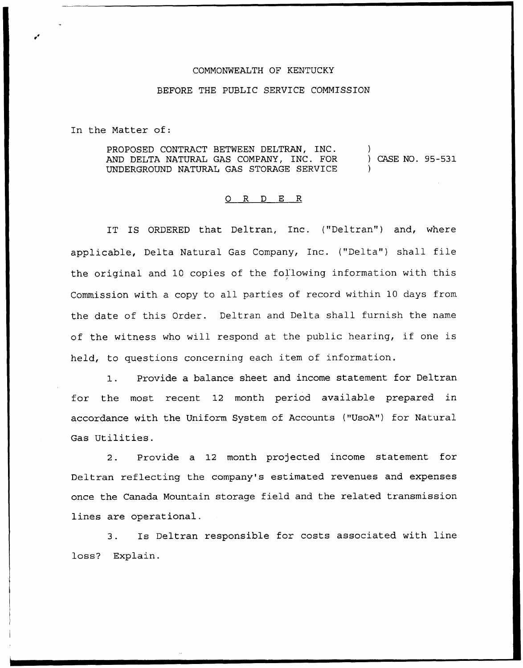## COMMONWEALTH OF KENTUCKY

## BEFORE THE PUBLIC SERVICE COMMISSION

In the Matter of:

PROPOSED CONTRACT BETWEEN DELTRAN, INC. AND DELTA NATURAL GAS COMPANY, INC. FOR UNDERGROUND NATURAL GAS STORAGE SERVICE ) ) CASE NO. 95-531 )

## 0 R <sup>D</sup> E R

IT IS ORDERED that Deltran, Inc. ("Deltran") and, where applicable, Delta Natural Gas Company, Inc. ("Delta") shall file the original and 10 copies of the fal'lowing information with this Commission with a copy to all parties of record within 10 days from the date of this Order. Deltran and Delta shall furnish the name of the witness who will respond at the public hearing, if one is held, to questions concerning each item of information.

1. Provide <sup>a</sup> balance sheet and income statement for Deltran for the most recent 12 month period available prepared in accordance with the Uniform System of Accounts ("UsoA") for Natural Gas Utilities.

2. Provide a 12 month projected income statement for Deltran reflecting the company's estimated revenues and expenses once the Canada Mountain storage field and the related transmission lines are operational.

3. Is Deltran responsible for costs associated with line loss? Explain.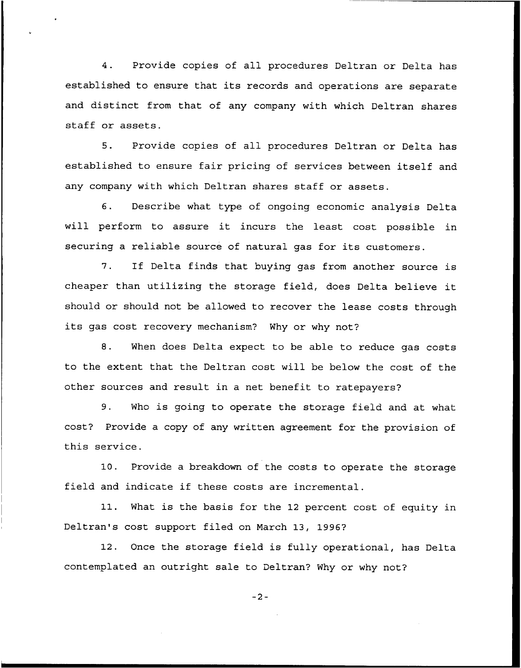4. Provide copies of all procedures Deltran or Delta has established to ensure that its records and operations are separate and distinct from that of any company with which Deltran shares staff or assets.

5. Provide copies of all procedures Deltran or Delta has established to ensure fair pricing of services between itself and any company with which Deltran shares staff or assets.

6. Describe what type of ongoing economic analysis Delta will perform to assure it incurs the least cost possible in securing a reliable source of natural gas for its customers.

7. If Delta finds that buying gas from another source is cheaper than utilizing the storage field, does Delta believe it should or should not be allowed to recover the lease costs through its gas cost recovery mechanism? Why or why not?

8. When does Delta expect to be able to reduce gas costs to the extent that the Deltran cost will be below the cost of the other sources and result in a net benefit to ratepayers?

9. Who is going to operate the storage field and at what cost? Provide a copy of any written agreement for the provision of this service.

10. Provide a breakdown of the costs to operate the storage field and indicate if these costs are incremental.

11. What is the basis for the <sup>12</sup> percent cost of equity in Deltran's cost support filed on March 13, 1996?

12. Once the storage field is fully operational, has Delta contemplated an outright sale to Deltran? Why or why not?

 $-2-$